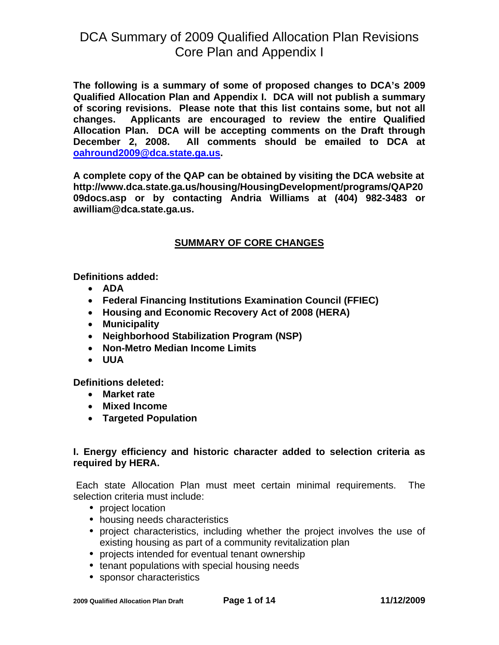**The following is a summary of some of proposed changes to DCA's 2009 Qualified Allocation Plan and Appendix I. DCA will not publish a summary of scoring revisions. Please note that this list contains some, but not all changes. Applicants are encouraged to review the entire Qualified Allocation Plan. DCA will be accepting comments on the Draft through December 2, 2008. All comments should be emailed to DCA at [oahround2009@dca.state.ga.us](mailto:oahround2009@dca.state.ga.us).** 

**A complete copy of the QAP can be obtained by visiting the DCA website at [http://www.dca.state.ga.us/housing/HousingDevelopment/programs/QAP20](http://www.dca.state.ga.us/housing/HousingDevelopment/programs/QAP2008docs.asp) [09docs.asp](http://www.dca.state.ga.us/housing/HousingDevelopment/programs/QAP2008docs.asp) or by contacting Andria Williams at (404) 982-3483 or [awilliam@dca.state.ga.us](mailto:awilliam@dca.state.ga.us).** 

### **SUMMARY OF CORE CHANGES**

**Definitions added:** 

- **ADA**
- **Federal Financing Institutions Examination Council (FFIEC)**
- **Housing and Economic Recovery Act of 2008 (HERA)**
- **Municipality**
- **Neighborhood Stabilization Program (NSP)**
- **Non-Metro Median Income Limits**
- **UUA**

**Definitions deleted:** 

- **Market rate**
- **Mixed Income**
- **Targeted Population**

### **I. Energy efficiency and historic character added to selection criteria as required by HERA.**

Each state Allocation Plan must meet certain minimal requirements. The selection criteria must include:

- project location
- housing needs characteristics
- project characteristics, including whether the project involves the use of existing housing as part of a community revitalization plan
- projects intended for eventual tenant ownership
- tenant populations with special housing needs
- sponsor characteristics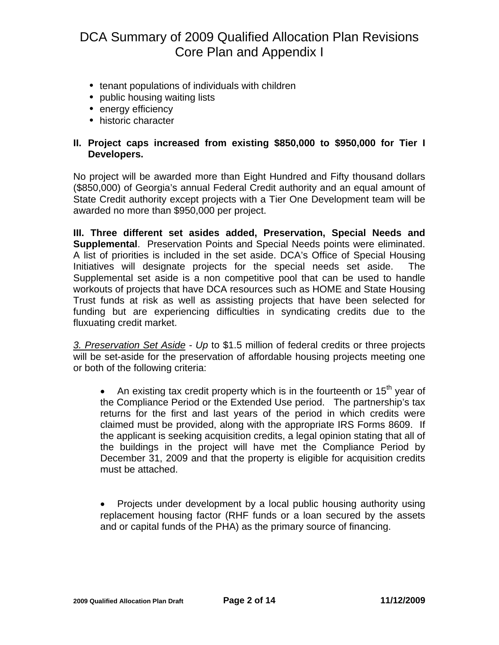- tenant populations of individuals with children
- public housing waiting lists
- energy efficiency
- historic character

### **II. Project caps increased from existing \$850,000 to \$950,000 for Tier I Developers.**

No project will be awarded more than Eight Hundred and Fifty thousand dollars (\$850,000) of Georgia's annual Federal Credit authority and an equal amount of State Credit authority except projects with a Tier One Development team will be awarded no more than \$950,000 per project.

**III. Three different set asides added, Preservation, Special Needs and Supplemental**. Preservation Points and Special Needs points were eliminated. A list of priorities is included in the set aside. DCA's Office of Special Housing Initiatives will designate projects for the special needs set aside. The Supplemental set aside is a non competitive pool that can be used to handle workouts of projects that have DCA resources such as HOME and State Housing Trust funds at risk as well as assisting projects that have been selected for funding but are experiencing difficulties in syndicating credits due to the fluxuating credit market.

*3. Preservation Set Aside - Up* to \$1.5 million of federal credits or three projects will be set-aside for the preservation of affordable housing projects meeting one or both of the following criteria:

An existing tax credit property which is in the fourteenth or  $15<sup>th</sup>$  year of the Compliance Period or the Extended Use period. The partnership's tax returns for the first and last years of the period in which credits were claimed must be provided, along with the appropriate IRS Forms 8609. If the applicant is seeking acquisition credits, a legal opinion stating that all of the buildings in the project will have met the Compliance Period by December 31, 2009 and that the property is eligible for acquisition credits must be attached.

• Projects under development by a local public housing authority using replacement housing factor (RHF funds or a loan secured by the assets and or capital funds of the PHA) as the primary source of financing.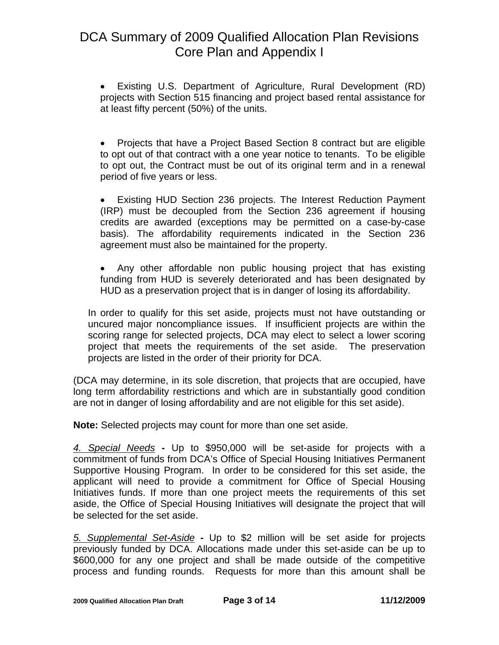• Existing U.S. Department of Agriculture, Rural Development (RD) projects with Section 515 financing and project based rental assistance for at least fifty percent (50%) of the units.

• Projects that have a Project Based Section 8 contract but are eligible to opt out of that contract with a one year notice to tenants. To be eligible to opt out, the Contract must be out of its original term and in a renewal period of five years or less.

• Existing HUD Section 236 projects. The Interest Reduction Payment (IRP) must be decoupled from the Section 236 agreement if housing credits are awarded (exceptions may be permitted on a case-by-case basis). The affordability requirements indicated in the Section 236 agreement must also be maintained for the property.

• Any other affordable non public housing project that has existing funding from HUD is severely deteriorated and has been designated by HUD as a preservation project that is in danger of losing its affordability.

In order to qualify for this set aside, projects must not have outstanding or uncured major noncompliance issues. If insufficient projects are within the scoring range for selected projects, DCA may elect to select a lower scoring project that meets the requirements of the set aside. The preservation projects are listed in the order of their priority for DCA.

(DCA may determine, in its sole discretion, that projects that are occupied, have long term affordability restrictions and which are in substantially good condition are not in danger of losing affordability and are not eligible for this set aside).

**Note:** Selected projects may count for more than one set aside.

*4. Special Needs* **-** Up to \$950,000 will be set-aside for projects with a commitment of funds from DCA's Office of Special Housing Initiatives Permanent Supportive Housing Program. In order to be considered for this set aside, the applicant will need to provide a commitment for Office of Special Housing Initiatives funds. If more than one project meets the requirements of this set aside, the Office of Special Housing Initiatives will designate the project that will be selected for the set aside.

*5. Supplemental Set-Aside* **-** Up to \$2 million will be set aside for projects previously funded by DCA. Allocations made under this set-aside can be up to \$600,000 for any one project and shall be made outside of the competitive process and funding rounds. Requests for more than this amount shall be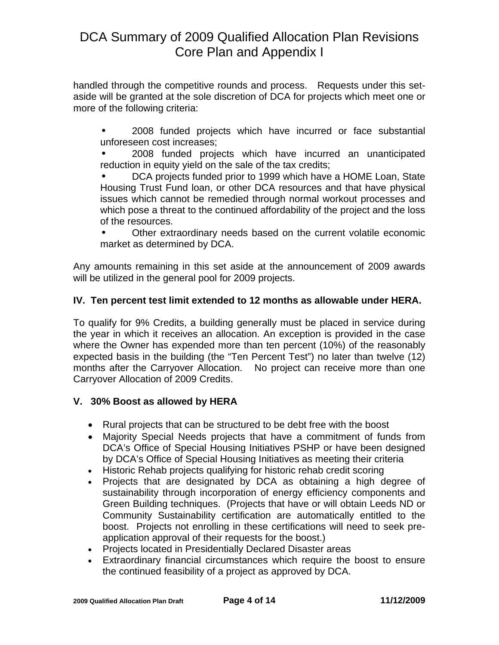handled through the competitive rounds and process. Requests under this setaside will be granted at the sole discretion of DCA for projects which meet one or more of the following criteria:

• 2008 funded projects which have incurred or face substantial unforeseen cost increases;

• 2008 funded projects which have incurred an unanticipated reduction in equity yield on the sale of the tax credits;

• DCA projects funded prior to 1999 which have a HOME Loan, State Housing Trust Fund loan, or other DCA resources and that have physical issues which cannot be remedied through normal workout processes and which pose a threat to the continued affordability of the project and the loss of the resources.

• Other extraordinary needs based on the current volatile economic market as determined by DCA.

Any amounts remaining in this set aside at the announcement of 2009 awards will be utilized in the general pool for 2009 projects.

### **IV. Ten percent test limit extended to 12 months as allowable under HERA.**

To qualify for 9% Credits, a building generally must be placed in service during the year in which it receives an allocation. An exception is provided in the case where the Owner has expended more than ten percent (10%) of the reasonably expected basis in the building (the "Ten Percent Test") no later than twelve (12) months after the Carryover Allocation. No project can receive more than one Carryover Allocation of 2009 Credits.

### **V. 30% Boost as allowed by HERA**

- Rural projects that can be structured to be debt free with the boost
- Majority Special Needs projects that have a commitment of funds from DCA's Office of Special Housing Initiatives PSHP or have been designed by DCA's Office of Special Housing Initiatives as meeting their criteria
- Historic Rehab projects qualifying for historic rehab credit scoring
- Projects that are designated by DCA as obtaining a high degree of sustainability through incorporation of energy efficiency components and Green Building techniques. (Projects that have or will obtain Leeds ND or Community Sustainability certification are automatically entitled to the boost. Projects not enrolling in these certifications will need to seek preapplication approval of their requests for the boost.)
- Projects located in Presidentially Declared Disaster areas
- Extraordinary financial circumstances which require the boost to ensure the continued feasibility of a project as approved by DCA.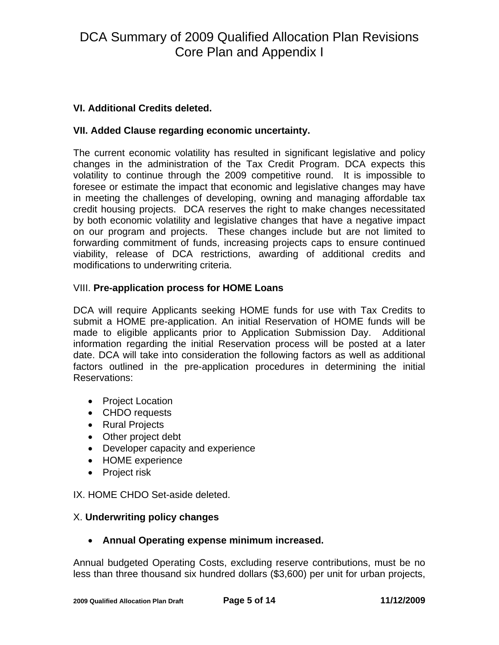### **VI. Additional Credits deleted.**

#### **VII. Added Clause regarding economic uncertainty.**

The current economic volatility has resulted in significant legislative and policy changes in the administration of the Tax Credit Program. DCA expects this volatility to continue through the 2009 competitive round. It is impossible to foresee or estimate the impact that economic and legislative changes may have in meeting the challenges of developing, owning and managing affordable tax credit housing projects. DCA reserves the right to make changes necessitated by both economic volatility and legislative changes that have a negative impact on our program and projects. These changes include but are not limited to forwarding commitment of funds, increasing projects caps to ensure continued viability, release of DCA restrictions, awarding of additional credits and modifications to underwriting criteria.

#### VIII. **Pre-application process for HOME Loans**

DCA will require Applicants seeking HOME funds for use with Tax Credits to submit a HOME pre-application. An initial Reservation of HOME funds will be made to eligible applicants prior to Application Submission Day. Additional information regarding the initial Reservation process will be posted at a later date. DCA will take into consideration the following factors as well as additional factors outlined in the pre-application procedures in determining the initial Reservations:

- Project Location
- CHDO requests
- Rural Projects
- Other project debt
- Developer capacity and experience
- HOME experience
- Project risk

IX. HOME CHDO Set-aside deleted.

### X. **Underwriting policy changes**

### • **Annual Operating expense minimum increased.**

Annual budgeted Operating Costs, excluding reserve contributions, must be no less than three thousand six hundred dollars (\$3,600) per unit for urban projects,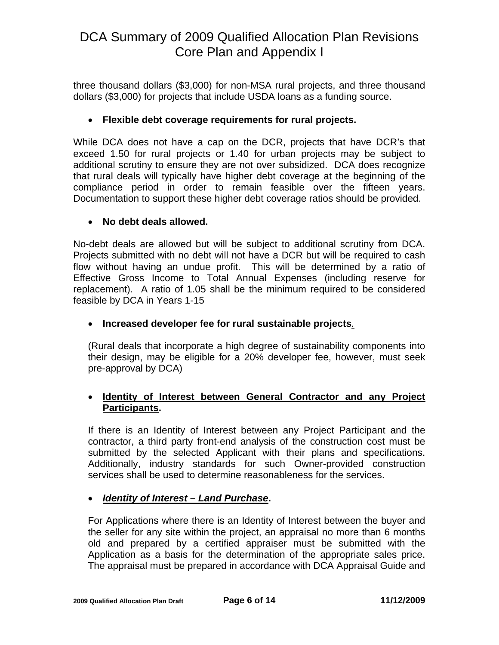three thousand dollars (\$3,000) for non-MSA rural projects, and three thousand dollars (\$3,000) for projects that include USDA loans as a funding source.

### • **Flexible debt coverage requirements for rural projects.**

While DCA does not have a cap on the DCR, projects that have DCR's that exceed 1.50 for rural projects or 1.40 for urban projects may be subject to additional scrutiny to ensure they are not over subsidized. DCA does recognize that rural deals will typically have higher debt coverage at the beginning of the compliance period in order to remain feasible over the fifteen years. Documentation to support these higher debt coverage ratios should be provided.

### • **No debt deals allowed.**

No-debt deals are allowed but will be subject to additional scrutiny from DCA. Projects submitted with no debt will not have a DCR but will be required to cash flow without having an undue profit. This will be determined by a ratio of Effective Gross Income to Total Annual Expenses (including reserve for replacement). A ratio of 1.05 shall be the minimum required to be considered feasible by DCA in Years 1-15

### • **Increased developer fee for rural sustainable projects***.*

(Rural deals that incorporate a high degree of sustainability components into their design, may be eligible for a 20% developer fee, however, must seek pre-approval by DCA)

### • **Identity of Interest between General Contractor and any Project Participants.**

If there is an Identity of Interest between any Project Participant and the contractor, a third party front-end analysis of the construction cost must be submitted by the selected Applicant with their plans and specifications. Additionally, industry standards for such Owner-provided construction services shall be used to determine reasonableness for the services.

### • *Identity of Interest – Land Purchase***.**

For Applications where there is an Identity of Interest between the buyer and the seller for any site within the project, an appraisal no more than 6 months old and prepared by a certified appraiser must be submitted with the Application as a basis for the determination of the appropriate sales price. The appraisal must be prepared in accordance with DCA Appraisal Guide and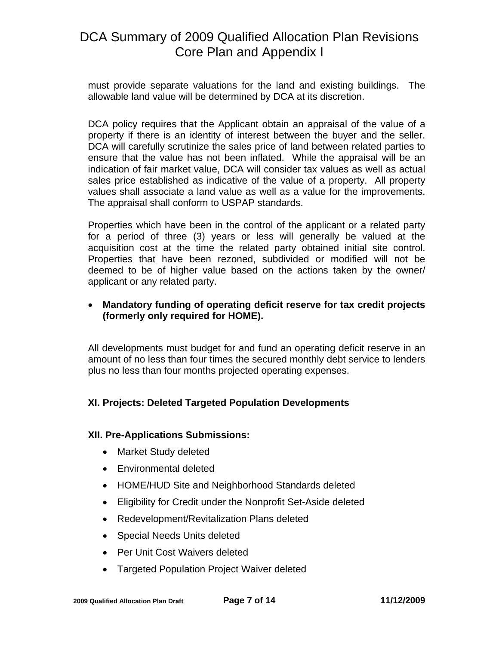must provide separate valuations for the land and existing buildings. The allowable land value will be determined by DCA at its discretion.

DCA policy requires that the Applicant obtain an appraisal of the value of a property if there is an identity of interest between the buyer and the seller. DCA will carefully scrutinize the sales price of land between related parties to ensure that the value has not been inflated. While the appraisal will be an indication of fair market value, DCA will consider tax values as well as actual sales price established as indicative of the value of a property. All property values shall associate a land value as well as a value for the improvements. The appraisal shall conform to USPAP standards.

Properties which have been in the control of the applicant or a related party for a period of three (3) years or less will generally be valued at the acquisition cost at the time the related party obtained initial site control. Properties that have been rezoned, subdivided or modified will not be deemed to be of higher value based on the actions taken by the owner/ applicant or any related party.

### • **Mandatory funding of operating deficit reserve for tax credit projects (formerly only required for HOME).**

All developments must budget for and fund an operating deficit reserve in an amount of no less than four times the secured monthly debt service to lenders plus no less than four months projected operating expenses.

### **XI. Projects: Deleted Targeted Population Developments**

### **XII. Pre-Applications Submissions:**

- Market Study deleted
- Environmental deleted
- HOME/HUD Site and Neighborhood Standards deleted
- Eligibility for Credit under the Nonprofit Set-Aside deleted
- Redevelopment/Revitalization Plans deleted
- Special Needs Units deleted
- Per Unit Cost Waivers deleted
- Targeted Population Project Waiver deleted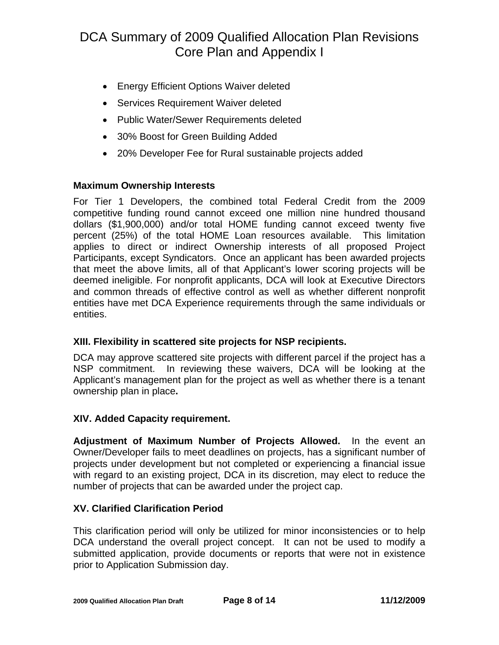- Energy Efficient Options Waiver deleted
- Services Requirement Waiver deleted
- Public Water/Sewer Requirements deleted
- 30% Boost for Green Building Added
- 20% Developer Fee for Rural sustainable projects added

### **Maximum Ownership Interests**

For Tier 1 Developers, the combined total Federal Credit from the 2009 competitive funding round cannot exceed one million nine hundred thousand dollars (\$1,900,000) and/or total HOME funding cannot exceed twenty five percent (25%) of the total HOME Loan resources available. This limitation applies to direct or indirect Ownership interests of all proposed Project Participants, except Syndicators. Once an applicant has been awarded projects that meet the above limits, all of that Applicant's lower scoring projects will be deemed ineligible. For nonprofit applicants, DCA will look at Executive Directors and common threads of effective control as well as whether different nonprofit entities have met DCA Experience requirements through the same individuals or entities.

### **XIII. Flexibility in scattered site projects for NSP recipients.**

DCA may approve scattered site projects with different parcel if the project has a NSP commitment. In reviewing these waivers, DCA will be looking at the Applicant's management plan for the project as well as whether there is a tenant ownership plan in place**.** 

### **XIV. Added Capacity requirement.**

**Adjustment of Maximum Number of Projects Allowed.** In the event an Owner/Developer fails to meet deadlines on projects, has a significant number of projects under development but not completed or experiencing a financial issue with regard to an existing project, DCA in its discretion, may elect to reduce the number of projects that can be awarded under the project cap.

### **XV. Clarified Clarification Period**

This clarification period will only be utilized for minor inconsistencies or to help DCA understand the overall project concept. It can not be used to modify a submitted application, provide documents or reports that were not in existence prior to Application Submission day.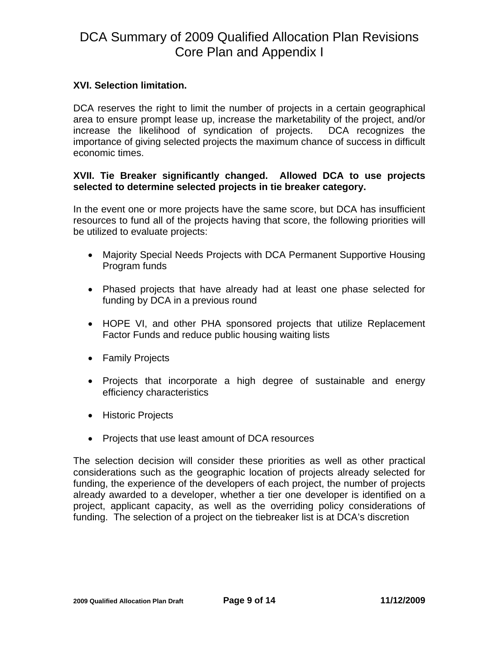### **XVI. Selection limitation.**

DCA reserves the right to limit the number of projects in a certain geographical area to ensure prompt lease up, increase the marketability of the project, and/or increase the likelihood of syndication of projects. DCA recognizes the importance of giving selected projects the maximum chance of success in difficult economic times.

#### **XVII. Tie Breaker significantly changed. Allowed DCA to use projects selected to determine selected projects in tie breaker category.**

In the event one or more projects have the same score, but DCA has insufficient resources to fund all of the projects having that score, the following priorities will be utilized to evaluate projects:

- Majority Special Needs Projects with DCA Permanent Supportive Housing Program funds
- Phased projects that have already had at least one phase selected for funding by DCA in a previous round
- HOPE VI, and other PHA sponsored projects that utilize Replacement Factor Funds and reduce public housing waiting lists
- Family Projects
- Projects that incorporate a high degree of sustainable and energy efficiency characteristics
- Historic Projects
- Projects that use least amount of DCA resources

The selection decision will consider these priorities as well as other practical considerations such as the geographic location of projects already selected for funding, the experience of the developers of each project, the number of projects already awarded to a developer, whether a tier one developer is identified on a project, applicant capacity, as well as the overriding policy considerations of funding. The selection of a project on the tiebreaker list is at DCA's discretion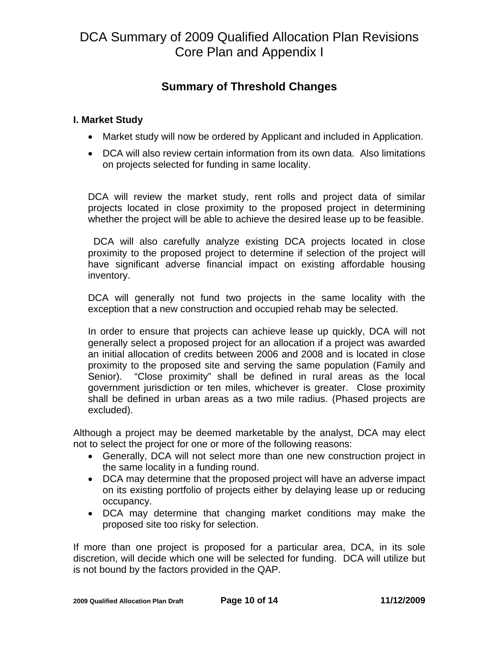### **Summary of Threshold Changes**

### **I. Market Study**

- Market study will now be ordered by Applicant and included in Application.
- DCA will also review certain information from its own data. Also limitations on projects selected for funding in same locality.

DCA will review the market study, rent rolls and project data of similar projects located in close proximity to the proposed project in determining whether the project will be able to achieve the desired lease up to be feasible.

DCA will also carefully analyze existing DCA projects located in close proximity to the proposed project to determine if selection of the project will have significant adverse financial impact on existing affordable housing inventory.

DCA will generally not fund two projects in the same locality with the exception that a new construction and occupied rehab may be selected.

In order to ensure that projects can achieve lease up quickly, DCA will not generally select a proposed project for an allocation if a project was awarded an initial allocation of credits between 2006 and 2008 and is located in close proximity to the proposed site and serving the same population (Family and Senior). "Close proximity" shall be defined in rural areas as the local government jurisdiction or ten miles, whichever is greater. Close proximity shall be defined in urban areas as a two mile radius. (Phased projects are excluded).

Although a project may be deemed marketable by the analyst, DCA may elect not to select the project for one or more of the following reasons:

- Generally, DCA will not select more than one new construction project in the same locality in a funding round.
- DCA may determine that the proposed project will have an adverse impact on its existing portfolio of projects either by delaying lease up or reducing occupancy.
- DCA may determine that changing market conditions may make the proposed site too risky for selection.

If more than one project is proposed for a particular area, DCA, in its sole discretion, will decide which one will be selected for funding. DCA will utilize but is not bound by the factors provided in the QAP.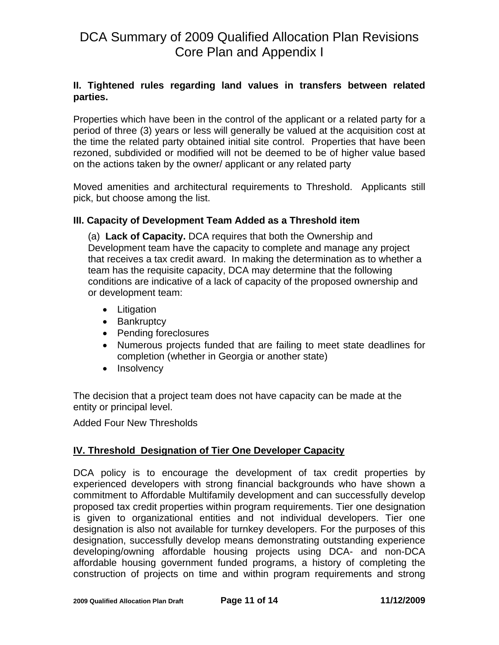### **II. Tightened rules regarding land values in transfers between related parties.**

Properties which have been in the control of the applicant or a related party for a period of three (3) years or less will generally be valued at the acquisition cost at the time the related party obtained initial site control. Properties that have been rezoned, subdivided or modified will not be deemed to be of higher value based on the actions taken by the owner/ applicant or any related party

Moved amenities and architectural requirements to Threshold. Applicants still pick, but choose among the list.

### **III. Capacity of Development Team Added as a Threshold item**

(a) **Lack of Capacity.** DCA requires that both the Ownership and Development team have the capacity to complete and manage any project that receives a tax credit award. In making the determination as to whether a team has the requisite capacity, DCA may determine that the following conditions are indicative of a lack of capacity of the proposed ownership and or development team:

- Litigation
- Bankruptcy
- Pending foreclosures
- Numerous projects funded that are failing to meet state deadlines for completion (whether in Georgia or another state)
- Insolvency

The decision that a project team does not have capacity can be made at the entity or principal level.

Added Four New Thresholds

### **IV. Threshold Designation of Tier One Developer Capacity**

DCA policy is to encourage the development of tax credit properties by experienced developers with strong financial backgrounds who have shown a commitment to Affordable Multifamily development and can successfully develop proposed tax credit properties within program requirements. Tier one designation is given to organizational entities and not individual developers. Tier one designation is also not available for turnkey developers. For the purposes of this designation, successfully develop means demonstrating outstanding experience developing/owning affordable housing projects using DCA- and non-DCA affordable housing government funded programs, a history of completing the construction of projects on time and within program requirements and strong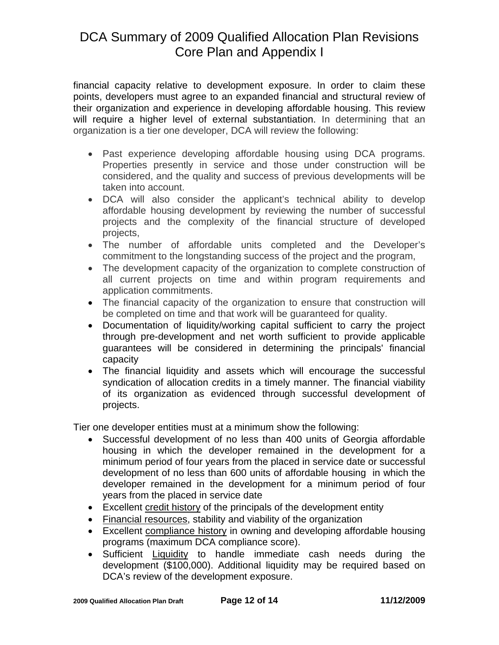financial capacity relative to development exposure. In order to claim these points, developers must agree to an expanded financial and structural review of their organization and experience in developing affordable housing. This review will require a higher level of external substantiation. In determining that an organization is a tier one developer, DCA will review the following:

- Past experience developing affordable housing using DCA programs. Properties presently in service and those under construction will be considered, and the quality and success of previous developments will be taken into account.
- DCA will also consider the applicant's technical ability to develop affordable housing development by reviewing the number of successful projects and the complexity of the financial structure of developed projects,
- The number of affordable units completed and the Developer's commitment to the longstanding success of the project and the program,
- The development capacity of the organization to complete construction of all current projects on time and within program requirements and application commitments.
- The financial capacity of the organization to ensure that construction will be completed on time and that work will be guaranteed for quality.
- Documentation of liquidity/working capital sufficient to carry the project through pre-development and net worth sufficient to provide applicable guarantees will be considered in determining the principals' financial capacity
- The financial liquidity and assets which will encourage the successful syndication of allocation credits in a timely manner. The financial viability of its organization as evidenced through successful development of projects.

Tier one developer entities must at a minimum show the following:

- Successful development of no less than 400 units of Georgia affordable housing in which the developer remained in the development for a minimum period of four years from the placed in service date or successful development of no less than 600 units of affordable housing in which the developer remained in the development for a minimum period of four years from the placed in service date
- Excellent credit history of the principals of the development entity
- Financial resources, stability and viability of the organization
- Excellent compliance history in owning and developing affordable housing programs (maximum DCA compliance score).
- Sufficient Liquidity to handle immediate cash needs during the development (\$100,000). Additional liquidity may be required based on DCA's review of the development exposure.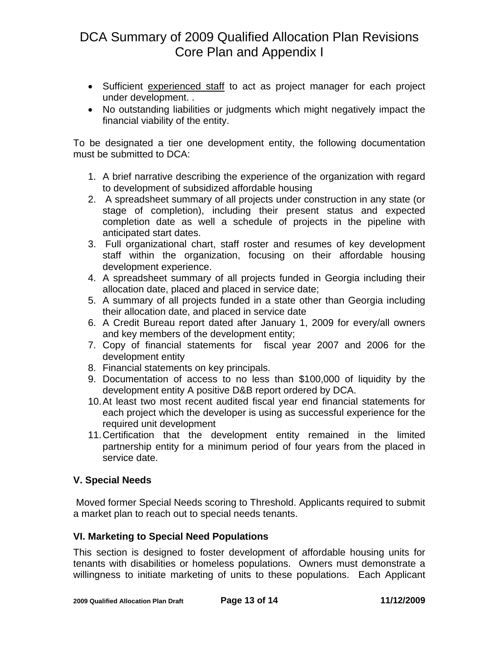- Sufficient experienced staff to act as project manager for each project under development. .
- No outstanding liabilities or judgments which might negatively impact the financial viability of the entity.

To be designated a tier one development entity, the following documentation must be submitted to DCA:

- 1. A brief narrative describing the experience of the organization with regard to development of subsidized affordable housing
- 2. A spreadsheet summary of all projects under construction in any state (or stage of completion), including their present status and expected completion date as well a schedule of projects in the pipeline with anticipated start dates.
- 3. Full organizational chart, staff roster and resumes of key development staff within the organization, focusing on their affordable housing development experience.
- 4. A spreadsheet summary of all projects funded in Georgia including their allocation date, placed and placed in service date;
- 5. A summary of all projects funded in a state other than Georgia including their allocation date, and placed in service date
- 6. A Credit Bureau report dated after January 1, 2009 for every/all owners and key members of the development entity;
- 7. Copy of financial statements for fiscal year 2007 and 2006 for the development entity
- 8. Financial statements on key principals.
- 9. Documentation of access to no less than \$100,000 of liquidity by the development entity A positive D&B report ordered by DCA.
- 10. At least two most recent audited fiscal year end financial statements for each project which the developer is using as successful experience for the required unit development
- 11. Certification that the development entity remained in the limited partnership entity for a minimum period of four years from the placed in service date.

### **V. Special Needs**

 Moved former Special Needs scoring to Threshold. Applicants required to submit a market plan to reach out to special needs tenants.

### **VI. Marketing to Special Need Populations**

This section is designed to foster development of affordable housing units for tenants with disabilities or homeless populations. Owners must demonstrate a willingness to initiate marketing of units to these populations. Each Applicant